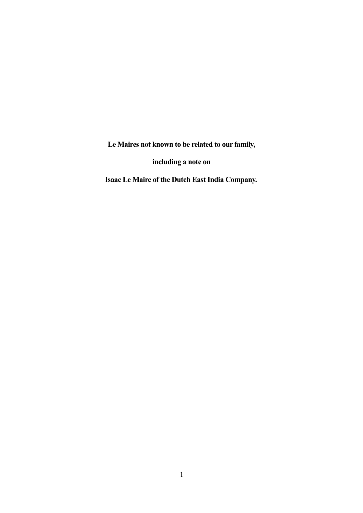**Le Maires not known to be related to our family,**

**including a note on**

**Isaac Le Maire of the Dutch East India Company.**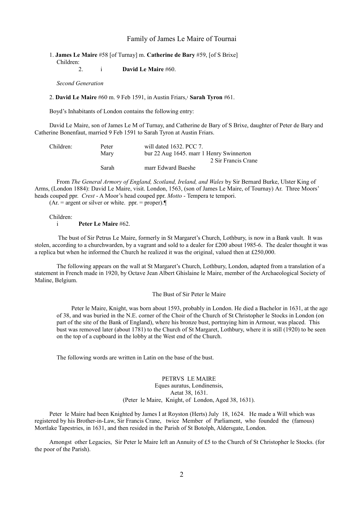#### Family of James Le Maire of Tournai

#### 1. **James Le Maire** #58 [of Turnay] m. **Catherine de Bary** #59, [of S Brixe] Children:

2. i **David Le Maire** #60.

*Second Generation*

2. **David Le Maire** #60 m. 9 Feb 1591, in Austin Friars,<sup>1</sup> **Sarah Tyron** #61.

Boyd's Inhabitants of London contains the following entry:

David Le Maire, son of James Le M of Turnay, and Catherine de Bary of S Brixe, daughter of Peter de Bary and Catherine Bonenfaut, married 9 Feb 1591 to Sarah Tyron at Austin Friars.

| Children: | Peter | will dated 1632. PCC 7.                  |
|-----------|-------|------------------------------------------|
|           | Mary  | bur 22 Aug 1645, marr 1 Henry Swinnerton |
|           |       | 2 Sir Francis Crane                      |
|           | Sarah | marr Edward Baeshe                       |

From *The General Armory of England, Scotland, Ireland, and Wales* by Sir Bernard Burke, Ulster King of Arms, (London 1884): David Le Maire, visit. London, 1563, (son of James Le Maire, of Tournay) Ar. Three Moors' heads couped ppr. *Crest* - A Moor's head couped ppr. *Motto* - Tempera te tempori.

 $(Ar)$  = argent or silver or white. ppr. = proper).

Children:

#### i **Peter Le Maire** #62.

 The bust of Sir Petrus Le Maire, formerly in St Margaret's Church, Lothbury, is now in a Bank vault. It was stolen, according to a churchwarden, by a vagrant and sold to a dealer for £200 about 1985-6. The dealer thought it was a replica but when he informed the Church he realized it was the original, valued then at £250,000.

The following appears on the wall at St Margaret's Church, Lothbury, London, adapted from a translation of a statement in French made in 1920, by Octave Jean Albert Ghislaine le Maire, member of the Archaeological Society of Maline, Belgium.

#### The Bust of Sir Peter le Maire

Peter le Maire, Knight, was born about 1593, probably in London. He died a Bachelor in 1631, at the age of 38, and was buried in the N.E. corner of the Choir of the Church of St Christopher le Stocks in London (on part of the site of the Bank of England), where his bronze bust, portraying him in Armour, was placed. This bust was removed later (about 1781) to the Church of St Margaret, Lothbury, where it is still (1920) to be seen on the top of a cupboard in the lobby at the West end of the Church.

The following words are written in Latin on the base of the bust.

#### PETRVS LE MAIRE Eques auratus, Londinensis, Aetat 38, 1631. (Peter le Maire, Knight, of London, Aged 38, 1631).

Peter le Maire had been Knighted by James I at Royston (Herts) July 18, 1624. He made a Will which was registered by his Brother-in-Law, Sir Francis Crane, twice Member of Parliament, who founded the (famous) Mortlake Tapestries, in 1631, and then resided in the Parish of St Botolph, Aldersgate, London.

Amongst other Legacies, Sir Peter le Maire left an Annuity of £5 to the Church of St Christopher le Stocks. (for the poor of the Parish).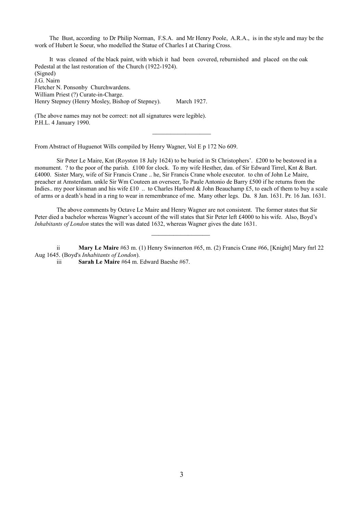The Bust, according to Dr Philip Norman, F.S.A. and Mr Henry Poole, A.R.A., is in the style and may be the work of Hubert le Soeur, who modelled the Statue of Charles I at Charing Cross.

It was cleaned of the black paint, with which it had been covered, reburnished and placed on the oak Pedestal at the last restoration of the Church (1922-1924). (Signed) J.G. Nairn Fletcher N. Ponsonby Churchwardens. William Priest (?) Curate-in-Charge. Henry Stepney (Henry Mosley, Bishop of Stepney). March 1927.

(The above names may not be correct: not all signatures were legible). P.H.L. 4 January 1990.

From Abstract of Huguenot Wills compiled by Henry Wagner, Vol E p 172 No 609.

Sir Peter Le Maire, Knt (Royston 18 July 1624) to be buried in St Christophers'. £200 to be bestowed in a monument. ? to the poor of the parish. £100 for clock. To my wife Hesther, dau. of Sir Edward Tirrel, Knt & Bart. £4000. Sister Mary, wife of Sir Francis Crane .. he, Sir Francis Crane whole executor. to chn of John Le Maire, preacher at Amsterdam. unkle Sir Wm Couteen an overseer, To Paule Antonio de Barry £500 if he returns from the Indies.. my poor kinsman and his wife £10 .. to Charles Harbord & John Beauchamp £5, to each of them to buy a scale of arms or a death's head in a ring to wear in remembrance of me. Many other legs. Da. 8 Jan. 1631. Pr. 16 Jan. 1631.

 $\mathcal{L}_\text{max}$  , where  $\mathcal{L}_\text{max}$ 

The above comments by Octave Le Maire and Henry Wagner are not consistent. The former states that Sir Peter died a bachelor whereas Wagner's account of the will states that Sir Peter left £4000 to his wife. Also, Boyd's *Inhabitants of London* states the will was dated 1632, whereas Wagner gives the date 1631.

ii **Mary Le Maire** #63 m. (1) Henry Swinnerton #65, m. (2) Francis Crane #66, [Knight] Mary fnrl 22 Aug 1645. (Boyd's *Inhabitants of London*).

 $\frac{1}{2}$ 

iii **Sarah Le Maire** #64 m. Edward Baeshe #67.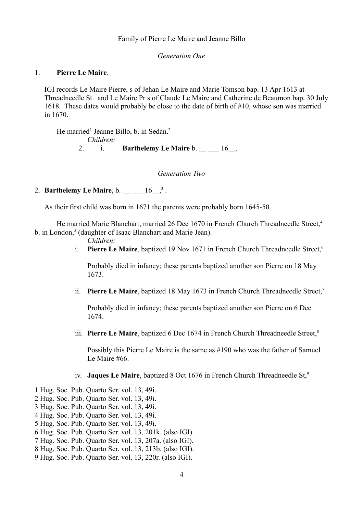### Family of Pierre Le Maire and Jeanne Billo

*Generation One*

## 1. **Pierre Le Maire**.

IGI records Le Maire Pierre, s of Jehan Le Maire and Marie Tomson bap. 13 Apr 1613 at Threadneedle St. and Le Maire Pr s of Claude Le Maire and Catherine de Beaumon bap. 30 July 1618. These dates would probably be close to the date of birth of #10, whose son was married in 1670.

He married<sup>[1](#page-3-0)</sup> Jeanne Billo, b. in Sedan.<sup>[2](#page-3-1)</sup> *Children:* 2. i. **Barthelemy Le Maire** b. 16.

*Generation Two*

# 2. **Barthelemy Le Maire**, b.  $16\frac{3}{2}$  $16\frac{3}{2}$  $16\frac{3}{2}$ .

As their first child was born in 1671 the parents were probably born 1645-50.

He married Marie Blanchart, married 26 Dec 1670 in French Church Threadneedle Street.<sup>[4](#page-3-3)</sup> b. in London,<sup>[5](#page-3-4)</sup> (daughter of Isaac Blanchart and Marie Jean).

- *Children:*
- i. Pierre Le Maire, baptized 19 Nov 1[6](#page-3-5)71 in French Church Threadneedle Street,<sup>6</sup>.

Probably died in infancy; these parents baptized another son Pierre on 18 May 1673.

ii. **Pierre Le Maire**, baptized 18 May 16[7](#page-3-6)3 in French Church Threadneedle Street,<sup>7</sup>

Probably died in infancy; these parents baptized another son Pierre on 6 Dec 1674.

iii. **Pierre Le Maire**, baptized 6 Dec 1674 in French Church Threadneedle Street.<sup>[8](#page-3-7)</sup>

Possibly this Pierre Le Maire is the same as #190 who was the father of Samuel Le Maire #66.

iv. **Jaques Le Maire**, baptized 8 Oct 1676 in French Church Threadneedle St,<sup>[9](#page-3-8)</sup>

<span id="page-3-0"></span><sup>1</sup> Hug. Soc. Pub. Quarto Ser. vol. 13, 49i.

<span id="page-3-1"></span><sup>2</sup> Hug. Soc. Pub. Quarto Ser. vol. 13, 49i.

<span id="page-3-2"></span><sup>3</sup> Hug. Soc. Pub. Quarto Ser. vol. 13, 49i.

<span id="page-3-3"></span><sup>4</sup> Hug. Soc. Pub. Quarto Ser. vol. 13, 49i.

<span id="page-3-4"></span><sup>5</sup> Hug. Soc. Pub. Quarto Ser. vol. 13, 49i.

<span id="page-3-5"></span><sup>6</sup> Hug. Soc. Pub. Quarto Ser. vol. 13, 201k. (also IGI).

<span id="page-3-6"></span><sup>7</sup> Hug. Soc. Pub. Quarto Ser. vol. 13, 207a. (also IGI).

<span id="page-3-7"></span><sup>8</sup> Hug. Soc. Pub. Quarto Ser. vol. 13, 213b. (also IGI).

<span id="page-3-8"></span><sup>9</sup> Hug. Soc. Pub. Quarto Ser. vol. 13, 220r. (also IGI).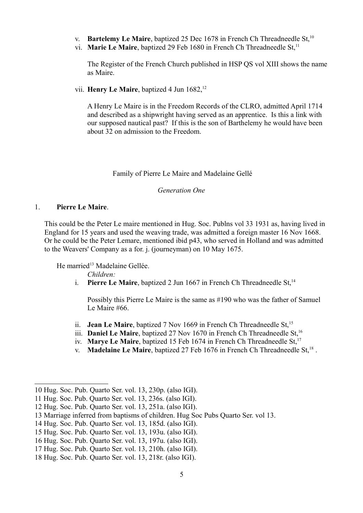- v. **Bartelemy Le Maire**, baptized 25 Dec 1678 in French Ch Threadneedle St,<sup>[10](#page-4-0)</sup>
- vi. **Marie Le Maire**, baptized 29 Feb 1680 in French Ch Threadneedle St,<sup>[11](#page-4-1)</sup>

The Register of the French Church published in HSP QS vol XIII shows the name as Maire.

vii. **Henry Le Maire**, baptized 4 Jun 1682,<sup>[12](#page-4-2)</sup>

A Henry Le Maire is in the Freedom Records of the CLRO, admitted April 1714 and described as a shipwright having served as an apprentice. Is this a link with our supposed nautical past? If this is the son of Barthelemy he would have been about 32 on admission to the Freedom.

# Family of Pierre Le Maire and Madelaine Gellé

*Generation One*

# 1. **Pierre Le Maire**.

This could be the Peter Le maire mentioned in Hug. Soc. Publns vol 33 1931 as, having lived in England for 15 years and used the weaving trade, was admitted a foreign master 16 Nov 1668. Or he could be the Peter Lemare, mentioned ibid p43, who served in Holland and was admitted to the Weavers' Company as a for. j. (journeyman) on 10 May 1675.

He married<sup>[13](#page-4-3)</sup> Madelaine Gellée.

*Children:*

i. **Pierre Le Maire**, baptized 2 Jun 1667 in French Ch Threadneedle St,<sup>[14](#page-4-4)</sup>

Possibly this Pierre Le Maire is the same as #190 who was the father of Samuel Le Maire #66.

- ii. **Jean Le Maire**, baptized 7 Nov 1669 in French Ch Threadneedle St, <sup>[15](#page-4-5)</sup>
- iii. **Daniel Le Maire**, baptized 27 Nov [16](#page-4-6)70 in French Ch Threadneedle St,<sup>16</sup>
- iv. **Marye Le Maire**, baptized 15 Feb 1674 in French Ch Threadneedle St,<sup>[17](#page-4-7)</sup>
- v. **Madelaine Le Maire**, baptized 27 Feb 1676 in French Ch Threadneedle St,<sup>[18](#page-4-8)</sup>.

<span id="page-4-0"></span><sup>10</sup> Hug. Soc. Pub. Quarto Ser. vol. 13, 230p. (also IGI).

<span id="page-4-1"></span><sup>11</sup> Hug. Soc. Pub. Quarto Ser. vol. 13, 236s. (also IGI).

<span id="page-4-2"></span><sup>12</sup> Hug. Soc. Pub. Quarto Ser. vol. 13, 251a. (also IGI).

<span id="page-4-3"></span><sup>13</sup> Marriage inferred from baptisms of children. Hug Soc Pubs Quarto Ser. vol 13.

<span id="page-4-4"></span><sup>14</sup> Hug. Soc. Pub. Quarto Ser. vol. 13, 185d. (also IGI).

<span id="page-4-5"></span><sup>15</sup> Hug. Soc. Pub. Quarto Ser. vol. 13, 193u. (also IGI).

<span id="page-4-6"></span><sup>16</sup> Hug. Soc. Pub. Quarto Ser. vol. 13, 197u. (also IGI).

<span id="page-4-7"></span><sup>17</sup> Hug. Soc. Pub. Quarto Ser. vol. 13, 210h. (also IGI).

<span id="page-4-8"></span><sup>18</sup> Hug. Soc. Pub. Quarto Ser. vol. 13, 218r. (also IGI).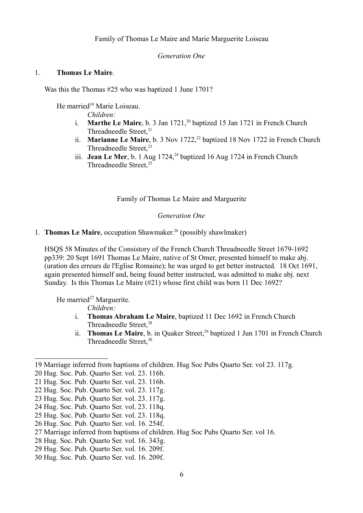*Generation One*

# 1. **Thomas Le Maire**.

Was this the Thomas #25 who was baptized 1 June 1701?

He married<sup>[19](#page-5-0)</sup> Marie Loiseau.

*Children:*

- i. **Marthe Le Maire**, b. 3 Jan 1721,<sup>[20](#page-5-1)</sup> baptized 15 Jan 1721 in French Church Threadneedle Street.<sup>[21](#page-5-2)</sup>
- ii. **Marianne Le Maire**, b. 3 Nov 17[22](#page-5-3),<sup>22</sup> baptized 18 Nov 1722 in French Church Threadneedle Street,<sup>[23](#page-5-4)</sup>
- iii. **Jean Le Mer**, b. 1 Aug 17[24](#page-5-5),<sup>24</sup> baptized 16 Aug 1724 in French Church Threadneedle Street,<sup>[25](#page-5-6)</sup>

Family of Thomas Le Maire and Marguerite

### *Generation One*

1. **Thomas Le Maire**, occupation Shawmaker.<sup>[26](#page-5-7)</sup> (possibly shawlmaker)

HSQS 58 Minutes of the Consistory of the French Church Threadneedle Street 1679-1692 pp339: 20 Sept 1691 Thomas Le Maire, native of St Omer, presented himself to make abj. (uration des erreurs de l'Eglise Romaine); he was urged to get better instructed. 18 Oct 1691, again presented himself and, being found better instructed, was admitted to make abj. next Sunday. Is this Thomas Le Maire (#21) whose first child was born 11 Dec 1692?

He married $27$  Marguerite.

*Children:*

- i. **Thomas Abraham Le Maire**, baptized 11 Dec 1692 in French Church Threadneedle Street $^{28}$  $^{28}$  $^{28}$
- ii. **Thomas Le Maire**, b. in Quaker Street,<sup>[29](#page-5-10)</sup> baptized 1 Jun 1701 in French Church Threadneedle Street, [30](#page-5-11)

<span id="page-5-0"></span><sup>19</sup> Marriage inferred from baptisms of children. Hug Soc Pubs Quarto Ser. vol 23. 117g.

<span id="page-5-1"></span><sup>20</sup> Hug. Soc. Pub. Quarto Ser. vol. 23. 116b.

<span id="page-5-2"></span><sup>21</sup> Hug. Soc. Pub. Quarto Ser. vol. 23. 116b.

<span id="page-5-3"></span><sup>22</sup> Hug. Soc. Pub. Quarto Ser. vol. 23. 117g.

<span id="page-5-4"></span><sup>23</sup> Hug. Soc. Pub. Quarto Ser. vol. 23. 117g.

<span id="page-5-5"></span><sup>24</sup> Hug. Soc. Pub. Quarto Ser. vol. 23. 118q.

<span id="page-5-6"></span><sup>25</sup> Hug. Soc. Pub. Quarto Ser. vol. 23. 118q.

<span id="page-5-7"></span><sup>26</sup> Hug. Soc. Pub. Quarto Ser. vol. 16. 254f.

<span id="page-5-8"></span><sup>27</sup> Marriage inferred from baptisms of children. Hug Soc Pubs Quarto Ser. vol 16.

<span id="page-5-9"></span><sup>28</sup> Hug. Soc. Pub. Quarto Ser. vol. 16. 343g.

<span id="page-5-10"></span><sup>29</sup> Hug. Soc. Pub. Quarto Ser. vol. 16. 209f.

<span id="page-5-11"></span><sup>30</sup> Hug. Soc. Pub. Quarto Ser. vol. 16. 209f.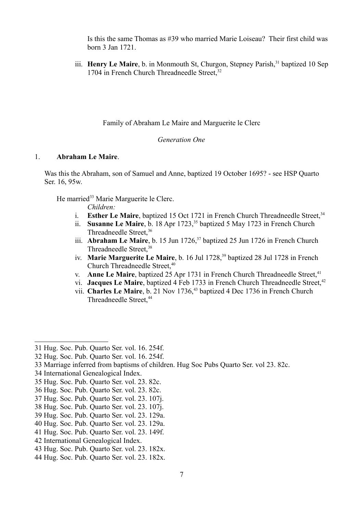Is this the same Thomas as #39 who married Marie Loiseau? Their first child was born 3 Jan 1721.

iii. **Henry Le Maire**, b. in Monmouth St, Churgon, Stepney Parish,<sup>[31](#page-6-0)</sup> baptized 10 Sep 1704 in French Church Threadneedle Street,<sup>[32](#page-6-1)</sup>

Family of Abraham Le Maire and Marguerite le Clerc

### *Generation One*

# 1. **Abraham Le Maire**.

Was this the Abraham, son of Samuel and Anne, baptized 19 October 1695? - see HSP Quarto Ser. 16, 95w.

He married<sup>[33](#page-6-2)</sup> Marie Marguerite le Clerc.

*Children:*

- i. **Esther Le Maire**, baptized 15 Oct 1721 in French Church Threadneedle Street,<sup>[34](#page-6-3)</sup>
- ii. **Susanne Le Maire**, b. 18 Apr 1723,<sup>[35](#page-6-4)</sup> baptized 5 May 1723 in French Church Threadneedle Street,<sup>[36](#page-6-5)</sup>
- iii. **Abraham Le Maire**, b. 15 Jun 1726,<sup>[37](#page-6-6)</sup> baptized 25 Jun 1726 in French Church Threadneedle Street,<sup>[38](#page-6-7)</sup>
- iv. **Marie Marguerite Le Maire**, b. 16 Jul 1728,<sup>[39](#page-6-8)</sup> baptized 28 Jul 1728 in French Church Threadneedle Street, [40](#page-6-9)
- v. **Anne Le Maire**, baptized 25 Apr 1731 in French Church Threadneedle Street,<sup>[41](#page-6-10)</sup>
- vi. **Jacques Le Maire**, baptized 4 Feb 1733 in French Church Threadneedle Street,<sup>[42](#page-6-11)</sup>
- vii. **Charles Le Maire**, b. 21 Nov 1736,<sup>[43](#page-6-12)</sup> baptized 4 Dec 1736 in French Church Threadneedle Street, [44](#page-6-13)

- <span id="page-6-6"></span>37 Hug. Soc. Pub. Quarto Ser. vol. 23. 107j.
- <span id="page-6-7"></span>38 Hug. Soc. Pub. Quarto Ser. vol. 23. 107j.
- <span id="page-6-8"></span>39 Hug. Soc. Pub. Quarto Ser. vol. 23. 129a.
- <span id="page-6-9"></span>40 Hug. Soc. Pub. Quarto Ser. vol. 23. 129a.
- <span id="page-6-10"></span>41 Hug. Soc. Pub. Quarto Ser. vol. 23. 149f.
- <span id="page-6-11"></span>42 International Genealogical Index.

<span id="page-6-13"></span>44 Hug. Soc. Pub. Quarto Ser. vol. 23. 182x.

<span id="page-6-0"></span><sup>31</sup> Hug. Soc. Pub. Quarto Ser. vol. 16. 254f.

<span id="page-6-1"></span><sup>32</sup> Hug. Soc. Pub. Quarto Ser. vol. 16. 254f.

<span id="page-6-2"></span><sup>33</sup> Marriage inferred from baptisms of children. Hug Soc Pubs Quarto Ser. vol 23. 82c.

<span id="page-6-3"></span><sup>34</sup> International Genealogical Index.

<span id="page-6-4"></span><sup>35</sup> Hug. Soc. Pub. Quarto Ser. vol. 23. 82c.

<span id="page-6-5"></span><sup>36</sup> Hug. Soc. Pub. Quarto Ser. vol. 23. 82c.

<span id="page-6-12"></span><sup>43</sup> Hug. Soc. Pub. Quarto Ser. vol. 23. 182x.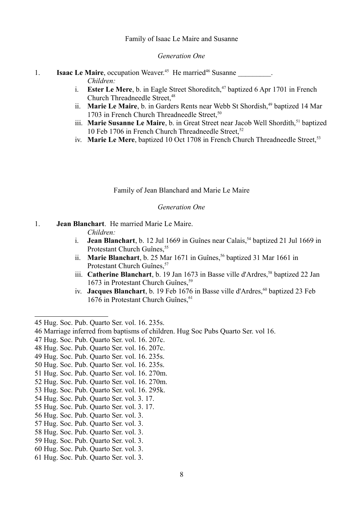### Family of Isaac Le Maire and Susanne

#### *Generation One*

- 1. **Isaac Le Maire**, occupation Weaver.<sup>[45](#page-7-0)</sup> He married<sup>[46](#page-7-1)</sup> Susanne \_\_\_\_\_\_\_\_\_. *Children:*
	- i. **Ester Le Mere**, b. in Eagle Street Shoreditch,<sup>[47](#page-7-2)</sup> baptized 6 Apr 1701 in French Church Threadneedle Street, <sup>[48](#page-7-3)</sup>
	- ii. **Marie Le Maire**, b. in Garders Rents near Webb St Shordish,<sup>[49](#page-7-4)</sup> baptized 14 Mar 1703 in French Church Threadneedle Street,<sup>[50](#page-7-5)</sup>
	- iii. **Marie Susanne Le Maire**, b. in Great Street near Jacob Well Shordith,<sup>[51](#page-7-6)</sup> baptized 10 Feb 1706 in French Church Threadneedle Street.<sup>[52](#page-7-7)</sup>
	- iv. **Marie Le Mere**, baptized 10 Oct 1708 in French Church Threadneedle Street.<sup>[53](#page-7-8)</sup>

Family of Jean Blanchard and Marie Le Maire

# *Generation One*

# 1. **Jean Blanchart**. He married Marie Le Maire.

*Children:*

- i. **Jean Blanchart**, b. 12 Jul 1669 in Guînes near Calais.<sup>[54](#page-7-9)</sup> baptized 21 Jul 1669 in Protestant Church Guînes, [55](#page-7-10)
- ii. **Marie Blanchart**, b. 25 Mar 1671 in Guînes,<sup>[56](#page-7-11)</sup> baptized 31 Mar 1661 in Protestant Church Guînes.<sup>[57](#page-7-12)</sup>
- iii. **Catherine Blanchart**, b. 19 Jan 1673 in Basse ville d'Ardres,<sup>[58](#page-7-13)</sup> baptized 22 Jan 1673 in Protestant Church Guînes,<sup>[59](#page-7-14)</sup>
- iv. **Jacques Blanchart**, b. 19 Feb 1676 in Basse ville d'Ardres,<sup>[60](#page-7-15)</sup> baptized 23 Feb 1676 in Protestant Church Guînes, <sup>[61](#page-7-16)</sup>

- <span id="page-7-2"></span>47 Hug. Soc. Pub. Quarto Ser. vol. 16. 207c.
- <span id="page-7-3"></span>48 Hug. Soc. Pub. Quarto Ser. vol. 16. 207c.
- <span id="page-7-4"></span>49 Hug. Soc. Pub. Quarto Ser. vol. 16. 235s.
- <span id="page-7-5"></span>50 Hug. Soc. Pub. Quarto Ser. vol. 16. 235s.
- <span id="page-7-6"></span>51 Hug. Soc. Pub. Quarto Ser. vol. 16. 270m.
- <span id="page-7-7"></span>52 Hug. Soc. Pub. Quarto Ser. vol. 16. 270m.
- <span id="page-7-8"></span>53 Hug. Soc. Pub. Quarto Ser. vol. 16. 295k.
- <span id="page-7-9"></span>54 Hug. Soc. Pub. Quarto Ser. vol. 3. 17.
- <span id="page-7-10"></span>55 Hug. Soc. Pub. Quarto Ser. vol. 3. 17.
- <span id="page-7-11"></span>56 Hug. Soc. Pub. Quarto Ser. vol. 3.
- <span id="page-7-12"></span>57 Hug. Soc. Pub. Quarto Ser. vol. 3.
- <span id="page-7-13"></span>58 Hug. Soc. Pub. Quarto Ser. vol. 3.
- <span id="page-7-14"></span>59 Hug. Soc. Pub. Quarto Ser. vol. 3.
- <span id="page-7-15"></span>60 Hug. Soc. Pub. Quarto Ser. vol. 3.
- <span id="page-7-16"></span>61 Hug. Soc. Pub. Quarto Ser. vol. 3.

<span id="page-7-0"></span><sup>45</sup> Hug. Soc. Pub. Quarto Ser. vol. 16. 235s.

<span id="page-7-1"></span><sup>46</sup> Marriage inferred from baptisms of children. Hug Soc Pubs Quarto Ser. vol 16.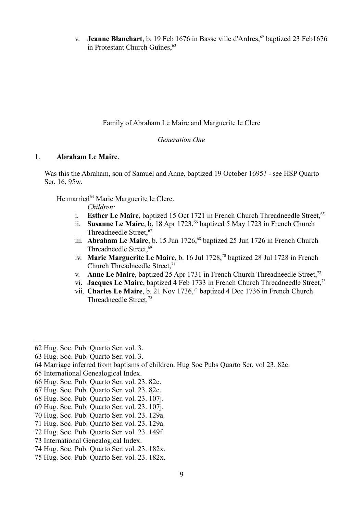v. **Jeanne Blanchart**, b. 19 Feb 1676 in Basse ville d'Ardres,<sup>[62](#page-8-0)</sup> baptized 23 Feb1676 in Protestant Church Guînes, <sup>[63](#page-8-1)</sup>

Family of Abraham Le Maire and Marguerite le Clerc

# *Generation One*

# 1. **Abraham Le Maire**.

Was this the Abraham, son of Samuel and Anne, baptized 19 October 1695? - see HSP Quarto Ser. 16, 95w.

He married<sup>[64](#page-8-2)</sup> Marie Marguerite le Clerc.

*Children:*

- i. **Esther Le Maire**, baptized 15 Oct 1721 in French Church Threadneedle Street.<sup>[65](#page-8-3)</sup>
- ii. **Susanne Le Maire**, b. 18 Apr 1723, <sup>[66](#page-8-4)</sup> baptized 5 May 1723 in French Church Threadneedle Street.<sup>[67](#page-8-5)</sup>
- iii. **Abraham Le Maire**, b. 15 Jun 1726,<sup>[68](#page-8-6)</sup> baptized 25 Jun 1726 in French Church Threadneedle Street,<sup>[69](#page-8-7)</sup>
- iv. **Marie Marguerite Le Maire**, b. 16 Jul 1728,[70](#page-8-8) baptized 28 Jul 1728 in French Church Threadneedle Street.<sup>[71](#page-8-9)</sup>
- v. **Anne Le Maire**, baptized 25 Apr 1731 in French Church Threadneedle Street,<sup>[72](#page-8-10)</sup>
- vi. **Jacques Le Maire**, baptized 4 Feb 1[73](#page-8-11)3 in French Church Threadneedle Street,<sup>73</sup>
- vii. **Charles Le Maire**, b. 21 Nov 1736,[74](#page-8-12) baptized 4 Dec 1736 in French Church Threadneedle Street,[75](#page-8-13)

- <span id="page-8-8"></span>70 Hug. Soc. Pub. Quarto Ser. vol. 23. 129a.
- <span id="page-8-9"></span>71 Hug. Soc. Pub. Quarto Ser. vol. 23. 129a.
- <span id="page-8-10"></span>72 Hug. Soc. Pub. Quarto Ser. vol. 23. 149f.

<span id="page-8-0"></span><sup>62</sup> Hug. Soc. Pub. Quarto Ser. vol. 3.

<span id="page-8-1"></span><sup>63</sup> Hug. Soc. Pub. Quarto Ser. vol. 3.

<span id="page-8-2"></span><sup>64</sup> Marriage inferred from baptisms of children. Hug Soc Pubs Quarto Ser. vol 23. 82c.

<span id="page-8-3"></span><sup>65</sup> International Genealogical Index.

<span id="page-8-4"></span><sup>66</sup> Hug. Soc. Pub. Quarto Ser. vol. 23. 82c.

<span id="page-8-5"></span><sup>67</sup> Hug. Soc. Pub. Quarto Ser. vol. 23. 82c.

<span id="page-8-6"></span><sup>68</sup> Hug. Soc. Pub. Quarto Ser. vol. 23. 107j.

<span id="page-8-7"></span><sup>69</sup> Hug. Soc. Pub. Quarto Ser. vol. 23. 107j.

<span id="page-8-11"></span><sup>73</sup> International Genealogical Index.

<span id="page-8-12"></span><sup>74</sup> Hug. Soc. Pub. Quarto Ser. vol. 23. 182x.

<span id="page-8-13"></span><sup>75</sup> Hug. Soc. Pub. Quarto Ser. vol. 23. 182x.